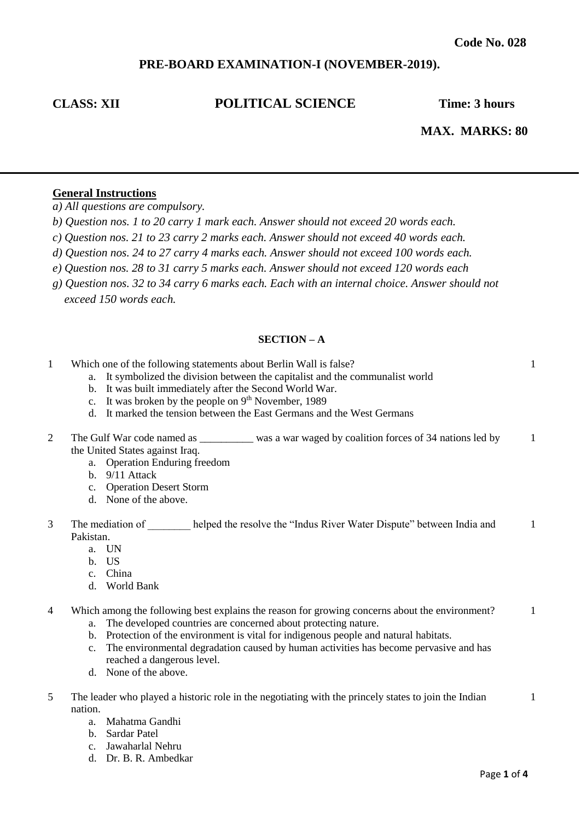# **PRE-BOARD EXAMINATION-I (NOVEMBER-2019).**

# **CLASS: XII POLITICAL SCIENCE Time: 3 hours**

 **MAX. MARKS: 80**

1

## **General Instructions**

*a) All questions are compulsory.*

- *b) Question nos. 1 to 20 carry 1 mark each. Answer should not exceed 20 words each.*
- *c) Question nos. 21 to 23 carry 2 marks each. Answer should not exceed 40 words each.*
- *d) Question nos. 24 to 27 carry 4 marks each. Answer should not exceed 100 words each.*
- *e) Question nos. 28 to 31 carry 5 marks each. Answer should not exceed 120 words each*
- *g) Question nos. 32 to 34 carry 6 marks each. Each with an internal choice. Answer should not exceed 150 words each.*

#### **SECTION – A**

- 1 Which one of the following statements about Berlin Wall is false?
	- a. It symbolized the division between the capitalist and the communalist world
	- b. It was built immediately after the Second World War.
	- c. It was broken by the people on  $9<sup>th</sup>$  November, 1989
	- d. It marked the tension between the East Germans and the West Germans
- 2 The Gulf War code named as \_\_\_\_\_\_\_\_\_\_ was a war waged by coalition forces of 34 nations led by the United States against Iraq. 1
	- a. Operation Enduring freedom
	- b.  $9/11$  Attack
	- c. Operation Desert Storm
	- d. None of the above.
- 3 The mediation of helped the resolve the "Indus River Water Dispute" between India and Pakistan. 1
	- a. UN
	- b. US
	- c. China
	- d. World Bank
- 4 Which among the following best explains the reason for growing concerns about the environment? 1
	- a. The developed countries are concerned about protecting nature.
	- b. Protection of the environment is vital for indigenous people and natural habitats.
	- c. The environmental degradation caused by human activities has become pervasive and has reached a dangerous level.
	- d. None of the above.
- 5 The leader who played a historic role in the negotiating with the princely states to join the Indian nation.
	- a. Mahatma Gandhi
	- b. Sardar Patel
	- c. Jawaharlal Nehru
	- d. Dr. B. R. Ambedkar

1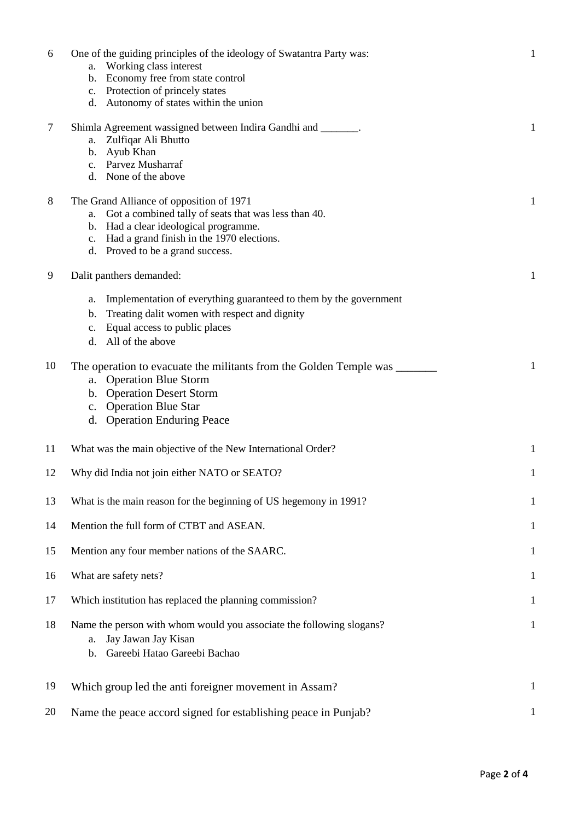| 6  | One of the guiding principles of the ideology of Swatantra Party was:<br>a. Working class interest<br>b. Economy free from state control<br>c. Protection of princely states | $\mathbf{1}$ |
|----|------------------------------------------------------------------------------------------------------------------------------------------------------------------------------|--------------|
| 7  | d. Autonomy of states within the union<br>Shimla Agreement wassigned between Indira Gandhi and _______.                                                                      | $\mathbf{1}$ |
|    | Zulfiqar Ali Bhutto<br>a.                                                                                                                                                    |              |
|    | b. Ayub Khan                                                                                                                                                                 |              |
|    | c. Parvez Musharraf                                                                                                                                                          |              |
|    | d. None of the above                                                                                                                                                         |              |
| 8  | The Grand Alliance of opposition of 1971                                                                                                                                     | $\mathbf{1}$ |
|    | Got a combined tally of seats that was less than 40.<br>a.                                                                                                                   |              |
|    | b. Had a clear ideological programme.                                                                                                                                        |              |
|    | c. Had a grand finish in the 1970 elections.                                                                                                                                 |              |
|    | d. Proved to be a grand success.                                                                                                                                             |              |
| 9  | Dalit panthers demanded:                                                                                                                                                     | $\mathbf{1}$ |
|    | Implementation of everything guaranteed to them by the government<br>a.                                                                                                      |              |
|    | Treating dalit women with respect and dignity<br>$\mathbf{b}$ .                                                                                                              |              |
|    | Equal access to public places                                                                                                                                                |              |
|    | c.<br>All of the above<br>d.                                                                                                                                                 |              |
|    |                                                                                                                                                                              |              |
| 10 | The operation to evacuate the militants from the Golden Temple was _______                                                                                                   | 1            |
|    | a. Operation Blue Storm                                                                                                                                                      |              |
|    | b. Operation Desert Storm                                                                                                                                                    |              |
|    | c. Operation Blue Star                                                                                                                                                       |              |
|    | d. Operation Enduring Peace                                                                                                                                                  |              |
|    |                                                                                                                                                                              |              |
| 11 | What was the main objective of the New International Order?                                                                                                                  | 1            |
| 12 | Why did India not join either NATO or SEATO?                                                                                                                                 | 1            |
| 13 |                                                                                                                                                                              |              |
|    | What is the main reason for the beginning of US hegemony in 1991?                                                                                                            | $\mathbf 1$  |
| 14 | Mention the full form of CTBT and ASEAN.                                                                                                                                     | 1            |
| 15 | Mention any four member nations of the SAARC.                                                                                                                                | $\mathbf{1}$ |
| 16 | What are safety nets?                                                                                                                                                        | $\mathbf{1}$ |
|    |                                                                                                                                                                              |              |
| 17 | Which institution has replaced the planning commission?                                                                                                                      | $\mathbf{1}$ |
| 18 | Name the person with whom would you associate the following slogans?                                                                                                         | $\mathbf{1}$ |
|    | Jay Jawan Jay Kisan<br>a.                                                                                                                                                    |              |
|    | Gareebi Hatao Gareebi Bachao<br>b.                                                                                                                                           |              |
|    |                                                                                                                                                                              |              |
| 19 | Which group led the anti foreigner movement in Assam?                                                                                                                        | $\mathbf{1}$ |
|    |                                                                                                                                                                              |              |
| 20 | Name the peace accord signed for establishing peace in Punjab?                                                                                                               | 1            |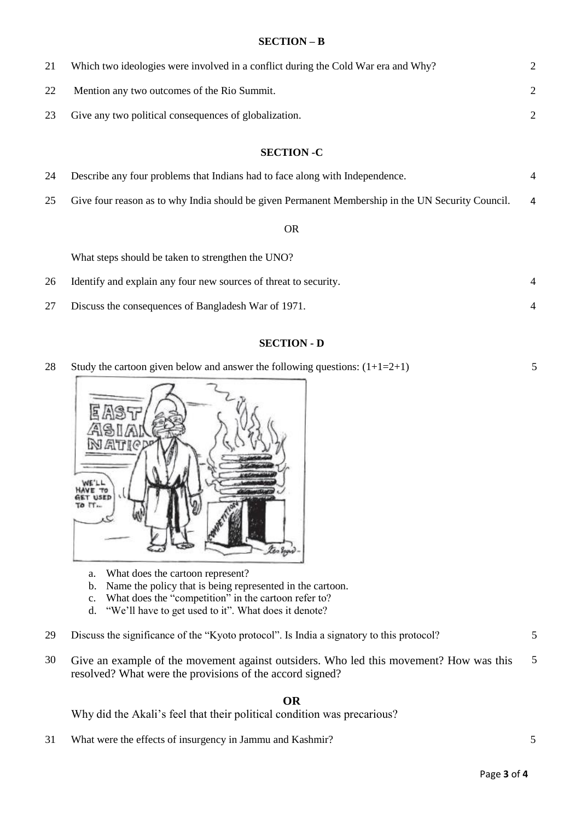## **SECTION – B**

| 21                | Which two ideologies were involved in a conflict during the Cold War era and Why?                 | 2              |  |
|-------------------|---------------------------------------------------------------------------------------------------|----------------|--|
| 22                | Mention any two outcomes of the Rio Summit.                                                       | $\overline{2}$ |  |
| 23                | Give any two political consequences of globalization.                                             | 2              |  |
|                   |                                                                                                   |                |  |
| <b>SECTION -C</b> |                                                                                                   |                |  |
| 24                | Describe any four problems that Indians had to face along with Independence.                      | 4              |  |
| 25                | Give four reason as to why India should be given Permanent Membership in the UN Security Council. | 4              |  |
| <b>OR</b>         |                                                                                                   |                |  |
|                   | What steps should be taken to strengthen the UNO?                                                 |                |  |
| 26                | Identify and explain any four new sources of threat to security.                                  | 4              |  |
| 27                | Discuss the consequences of Bangladesh War of 1971.                                               | $\overline{4}$ |  |

## **SECTION - D**

28 Study the cartoon given below and answer the following questions:  $(1+1=2+1)$ 

5



- a. What does the cartoon represent?
- b. Name the policy that is being represented in the cartoon.
- c. What does the "competition" in the cartoon refer to?
- d. "We'll have to get used to it". What does it denote?
- 29 Discuss the significance of the "Kyoto protocol". Is India a signatory to this protocol? 5
- 30 Give an example of the movement against outsiders. Who led this movement? How was this resolved? What were the provisions of the accord signed? 5

## **OR**

Why did the Akali's feel that their political condition was precarious?

31 What were the effects of insurgency in Jammu and Kashmir? 5